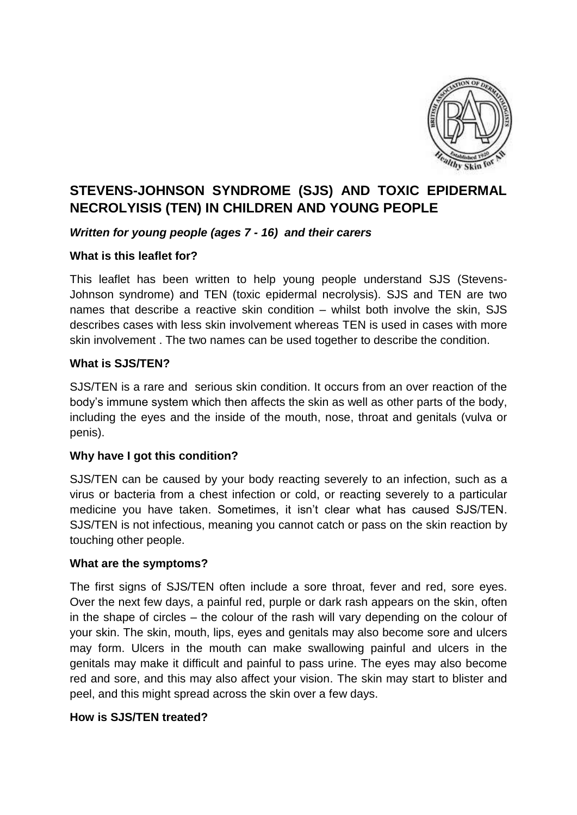

# **STEVENS-JOHNSON SYNDROME (SJS) AND TOXIC EPIDERMAL NECROLYISIS (TEN) IN CHILDREN AND YOUNG PEOPLE**

## *Written for young people (ages 7 - 16) and their carers*

## **What is this leaflet for?**

This leaflet has been written to help young people understand SJS (Stevens-Johnson syndrome) and TEN (toxic epidermal necrolysis). SJS and TEN are two names that describe a reactive skin condition – whilst both involve the skin, SJS describes cases with less skin involvement whereas TEN is used in cases with more skin involvement . The two names can be used together to describe the condition.

#### **What is SJS/TEN?**

SJS/TEN is a rare and serious skin condition. It occurs from an over reaction of the body's immune system which then affects the skin as well as other parts of the body, including the eyes and the inside of the mouth, nose, throat and genitals (vulva or penis).

## **Why have I got this condition?**

SJS/TEN can be caused by your body reacting severely to an infection, such as a virus or bacteria from a chest infection or cold, or reacting severely to a particular medicine you have taken. Sometimes, it isn't clear what has caused SJS/TEN. SJS/TEN is not infectious, meaning you cannot catch or pass on the skin reaction by touching other people.

#### **What are the symptoms?**

The first signs of SJS/TEN often include a sore throat, fever and red, sore eyes. Over the next few days, a painful red, purple or dark rash appears on the skin, often in the shape of circles – the colour of the rash will vary depending on the colour of your skin. The skin, mouth, lips, eyes and genitals may also become sore and ulcers may form. Ulcers in the mouth can make swallowing painful and ulcers in the genitals may make it difficult and painful to pass urine. The eyes may also become red and sore, and this may also affect your vision. The skin may start to blister and peel, and this might spread across the skin over a few days.

#### **How is SJS/TEN treated?**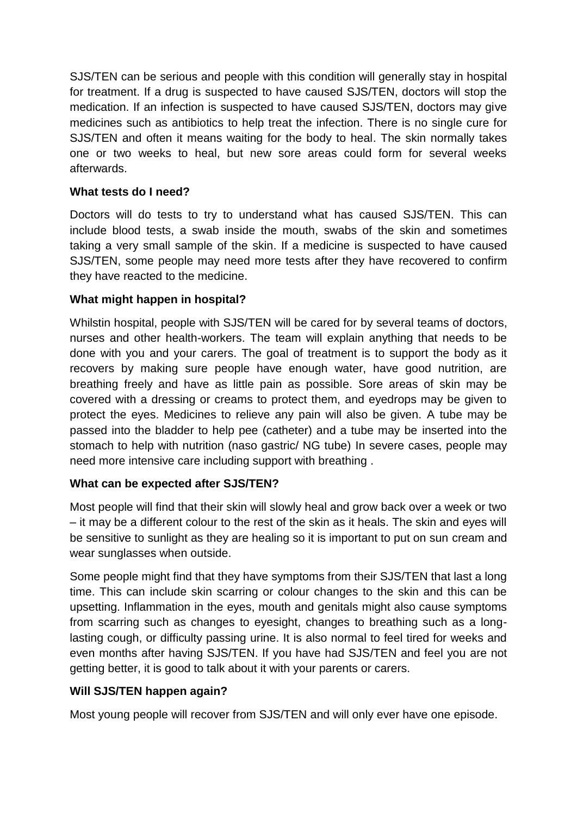SJS/TEN can be serious and people with this condition will generally stay in hospital for treatment. If a drug is suspected to have caused SJS/TEN, doctors will stop the medication. If an infection is suspected to have caused SJS/TEN, doctors may give medicines such as antibiotics to help treat the infection. There is no single cure for SJS/TEN and often it means waiting for the body to heal. The skin normally takes one or two weeks to heal, but new sore areas could form for several weeks afterwards.

## **What tests do I need?**

Doctors will do tests to try to understand what has caused SJS/TEN. This can include blood tests, a swab inside the mouth, swabs of the skin and sometimes taking a very small sample of the skin. If a medicine is suspected to have caused SJS/TEN, some people may need more tests after they have recovered to confirm they have reacted to the medicine.

# **What might happen in hospital?**

Whilstin hospital, people with SJS/TEN will be cared for by several teams of doctors, nurses and other health-workers. The team will explain anything that needs to be done with you and your carers. The goal of treatment is to support the body as it recovers by making sure people have enough water, have good nutrition, are breathing freely and have as little pain as possible. Sore areas of skin may be covered with a dressing or creams to protect them, and eyedrops may be given to protect the eyes. Medicines to relieve any pain will also be given. A tube may be passed into the bladder to help pee (catheter) and a tube may be inserted into the stomach to help with nutrition (naso gastric/ NG tube) In severe cases, people may need more intensive care including support with breathing .

## **What can be expected after SJS/TEN?**

Most people will find that their skin will slowly heal and grow back over a week or two – it may be a different colour to the rest of the skin as it heals. The skin and eyes will be sensitive to sunlight as they are healing so it is important to put on sun cream and wear sunglasses when outside.

Some people might find that they have symptoms from their SJS/TEN that last a long time. This can include skin scarring or colour changes to the skin and this can be upsetting. Inflammation in the eyes, mouth and genitals might also cause symptoms from scarring such as changes to eyesight, changes to breathing such as a longlasting cough, or difficulty passing urine. It is also normal to feel tired for weeks and even months after having SJS/TEN. If you have had SJS/TEN and feel you are not getting better, it is good to talk about it with your parents or carers.

## **Will SJS/TEN happen again?**

Most young people will recover from SJS/TEN and will only ever have one episode.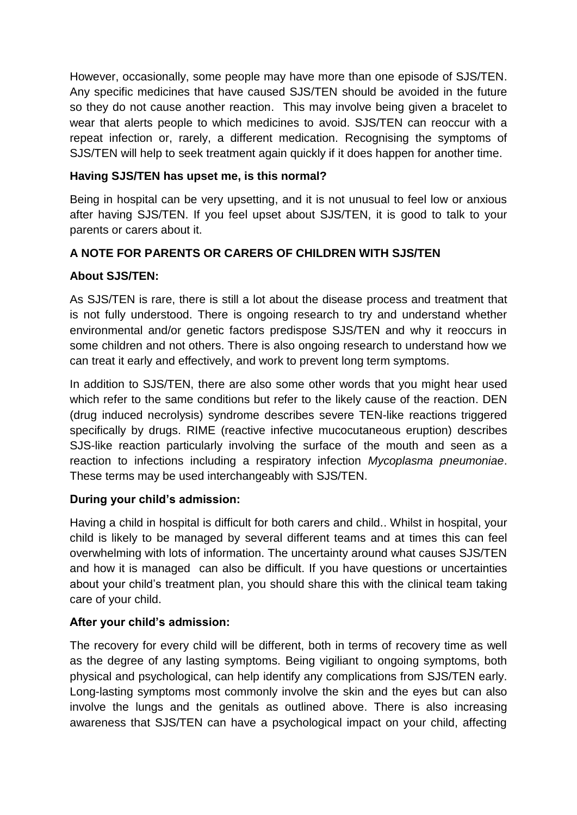However, occasionally, some people may have more than one episode of SJS/TEN. Any specific medicines that have caused SJS/TEN should be avoided in the future so they do not cause another reaction. This may involve being given a bracelet to wear that alerts people to which medicines to avoid. SJS/TEN can reoccur with a repeat infection or, rarely, a different medication. Recognising the symptoms of SJS/TEN will help to seek treatment again quickly if it does happen for another time.

## **Having SJS/TEN has upset me, is this normal?**

Being in hospital can be very upsetting, and it is not unusual to feel low or anxious after having SJS/TEN. If you feel upset about SJS/TEN, it is good to talk to your parents or carers about it.

# **A NOTE FOR PARENTS OR CARERS OF CHILDREN WITH SJS/TEN**

# **About SJS/TEN:**

As SJS/TEN is rare, there is still a lot about the disease process and treatment that is not fully understood. There is ongoing research to try and understand whether environmental and/or genetic factors predispose SJS/TEN and why it reoccurs in some children and not others. There is also ongoing research to understand how we can treat it early and effectively, and work to prevent long term symptoms.

In addition to SJS/TEN, there are also some other words that you might hear used which refer to the same conditions but refer to the likely cause of the reaction. DEN (drug induced necrolysis) syndrome describes severe TEN-like reactions triggered specifically by drugs. RIME (reactive infective mucocutaneous eruption) describes SJS-like reaction particularly involving the surface of the mouth and seen as a reaction to infections including a respiratory infection *Mycoplasma pneumoniae*. These terms may be used interchangeably with SJS/TEN.

# **During your child's admission:**

Having a child in hospital is difficult for both carers and child.. Whilst in hospital, your child is likely to be managed by several different teams and at times this can feel overwhelming with lots of information. The uncertainty around what causes SJS/TEN and how it is managed can also be difficult. If you have questions or uncertainties about your child's treatment plan, you should share this with the clinical team taking care of your child.

# **After your child's admission:**

The recovery for every child will be different, both in terms of recovery time as well as the degree of any lasting symptoms. Being vigiliant to ongoing symptoms, both physical and psychological, can help identify any complications from SJS/TEN early. Long-lasting symptoms most commonly involve the skin and the eyes but can also involve the lungs and the genitals as outlined above. There is also increasing awareness that SJS/TEN can have a psychological impact on your child, affecting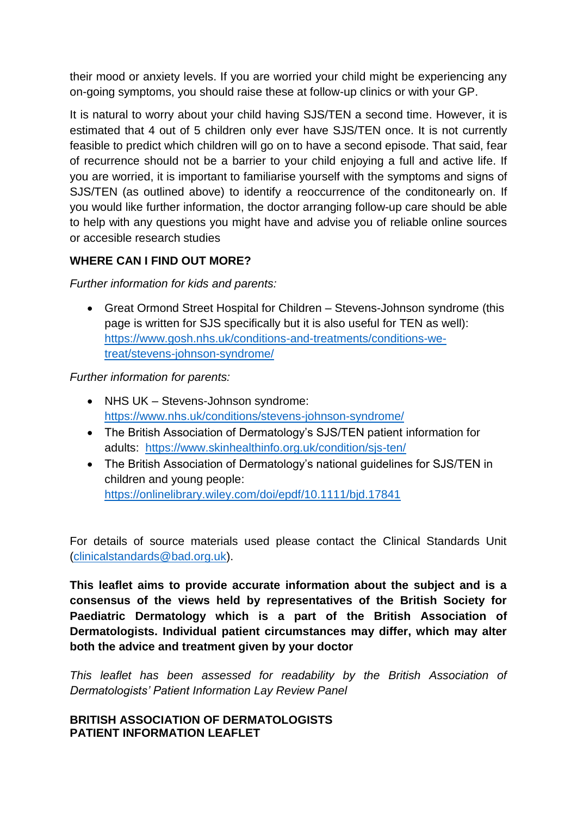their mood or anxiety levels. If you are worried your child might be experiencing any on-going symptoms, you should raise these at follow-up clinics or with your GP.

It is natural to worry about your child having SJS/TEN a second time. However, it is estimated that 4 out of 5 children only ever have SJS/TEN once. It is not currently feasible to predict which children will go on to have a second episode. That said, fear of recurrence should not be a barrier to your child enjoying a full and active life. If you are worried, it is important to familiarise yourself with the symptoms and signs of SJS/TEN (as outlined above) to identify a reoccurrence of the conditonearly on. If you would like further information, the doctor arranging follow-up care should be able to help with any questions you might have and advise you of reliable online sources or accesible research studies

# **WHERE CAN I FIND OUT MORE?**

*Further information for kids and parents:*

 Great Ormond Street Hospital for Children – Stevens-Johnson syndrome (this page is written for SJS specifically but it is also useful for TEN as well): [https://www.gosh.nhs.uk/conditions-and-treatments/conditions-we](https://www.gosh.nhs.uk/conditions-and-treatments/conditions-we-treat/stevens-johnson-syndrome/)[treat/stevens-johnson-syndrome/](https://www.gosh.nhs.uk/conditions-and-treatments/conditions-we-treat/stevens-johnson-syndrome/)

*Further information for parents:*

- NHS UK Stevens-Johnson syndrome: <https://www.nhs.uk/conditions/stevens-johnson-syndrome/>
- The British Association of Dermatology's SJS/TEN patient information for adults: <https://www.skinhealthinfo.org.uk/condition/sjs-ten/>
- The British Association of Dermatology's national guidelines for SJS/TEN in children and young people: <https://onlinelibrary.wiley.com/doi/epdf/10.1111/bjd.17841>

For details of source materials used please contact the Clinical Standards Unit [\(clinicalstandards@bad.org.uk\)](mailto:clinicalstandards@bad.org.uk).

**This leaflet aims to provide accurate information about the subject and is a consensus of the views held by representatives of the British Society for Paediatric Dermatology which is a part of the British Association of Dermatologists. Individual patient circumstances may differ, which may alter both the advice and treatment given by your doctor**

*This leaflet has been assessed for readability by the British Association of Dermatologists' Patient Information Lay Review Panel*

#### **BRITISH ASSOCIATION OF DERMATOLOGISTS PATIENT INFORMATION LEAFLET**